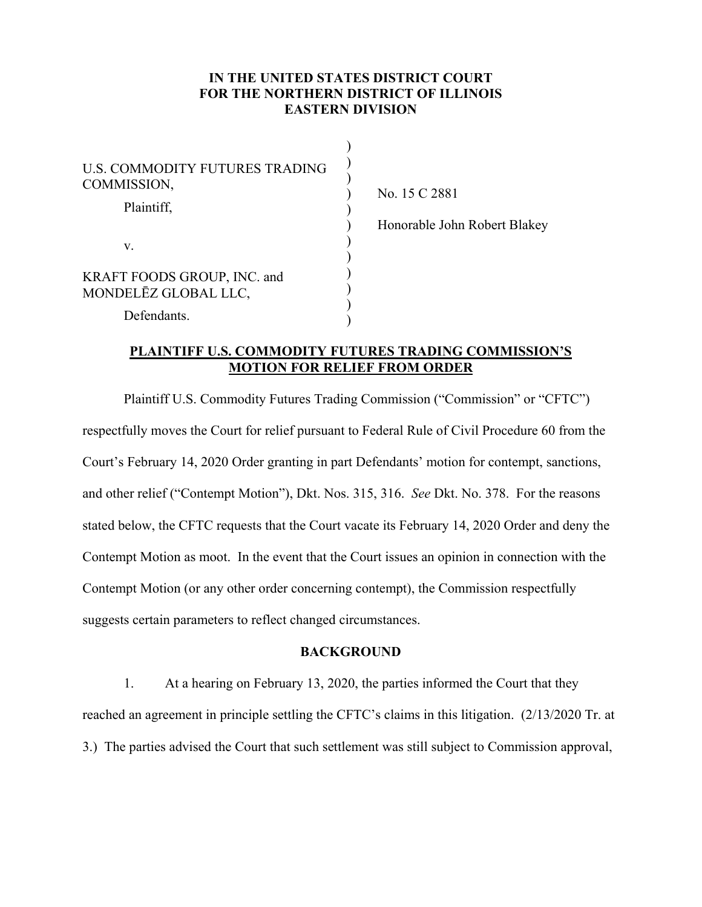## **IN THE UNITED STATES DISTRICT COURT FOR THE NORTHERN DISTRICT OF ILLINOIS EASTERN DIVISION**

| U.S. COMMODITY FUTURES TRADING<br>COMMISSION,       |  |
|-----------------------------------------------------|--|
| Plaintiff,<br>V.                                    |  |
| KRAFT FOODS GROUP, INC. and<br>MONDELĒZ GLOBAL LLC, |  |
| Defendants.                                         |  |

No. 15 C 2881

Honorable John Robert Blakey

### **PLAINTIFF U.S. COMMODITY FUTURES TRADING COMMISSION'S MOTION FOR RELIEF FROM ORDER**

Plaintiff U.S. Commodity Futures Trading Commission ("Commission" or "CFTC") respectfully moves the Court for relief pursuant to Federal Rule of Civil Procedure 60 from the Court's February 14, 2020 Order granting in part Defendants' motion for contempt, sanctions, and other relief ("Contempt Motion"), Dkt. Nos. 315, 316. *See* Dkt. No. 378. For the reasons stated below, the CFTC requests that the Court vacate its February 14, 2020 Order and deny the Contempt Motion as moot. In the event that the Court issues an opinion in connection with the Contempt Motion (or any other order concerning contempt), the Commission respectfully suggests certain parameters to reflect changed circumstances.

#### **BACKGROUND**

1. At a hearing on February 13, 2020, the parties informed the Court that they reached an agreement in principle settling the CFTC's claims in this litigation. (2/13/2020 Tr. at 3.) The parties advised the Court that such settlement was still subject to Commission approval,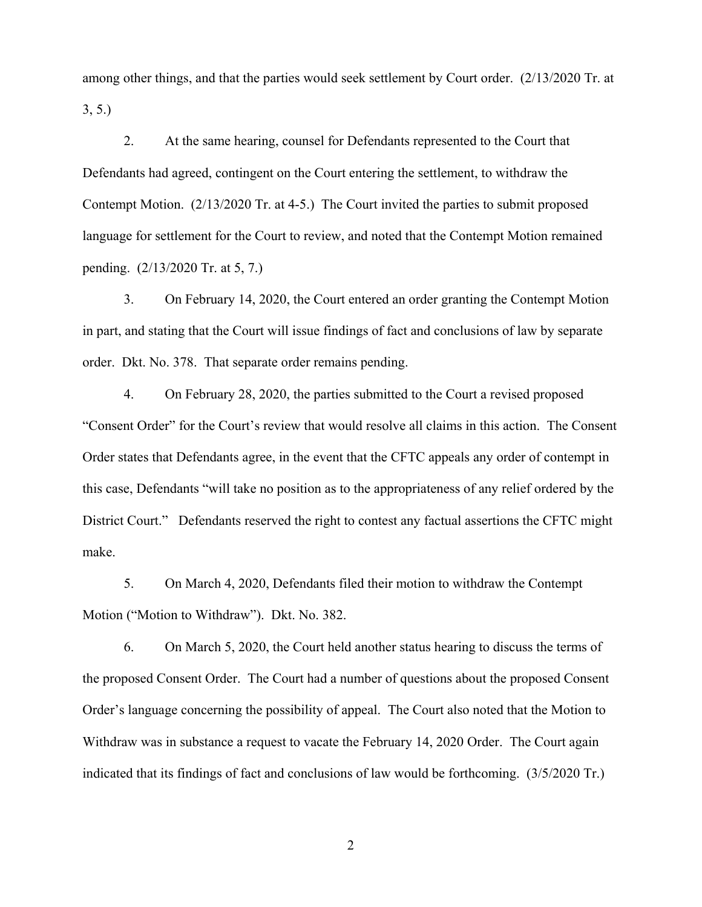among other things, and that the parties would seek settlement by Court order. (2/13/2020 Tr. at 3, 5.)

2. At the same hearing, counsel for Defendants represented to the Court that Defendants had agreed, contingent on the Court entering the settlement, to withdraw the Contempt Motion. (2/13/2020 Tr. at 4-5.) The Court invited the parties to submit proposed language for settlement for the Court to review, and noted that the Contempt Motion remained pending. (2/13/2020 Tr. at 5, 7.)

3. On February 14, 2020, the Court entered an order granting the Contempt Motion in part, and stating that the Court will issue findings of fact and conclusions of law by separate order. Dkt. No. 378. That separate order remains pending.

4. On February 28, 2020, the parties submitted to the Court a revised proposed "Consent Order" for the Court's review that would resolve all claims in this action. The Consent Order states that Defendants agree, in the event that the CFTC appeals any order of contempt in this case, Defendants "will take no position as to the appropriateness of any relief ordered by the District Court." Defendants reserved the right to contest any factual assertions the CFTC might make.

5. On March 4, 2020, Defendants filed their motion to withdraw the Contempt Motion ("Motion to Withdraw"). Dkt. No. 382.

6. On March 5, 2020, the Court held another status hearing to discuss the terms of the proposed Consent Order. The Court had a number of questions about the proposed Consent Order's language concerning the possibility of appeal. The Court also noted that the Motion to Withdraw was in substance a request to vacate the February 14, 2020 Order. The Court again indicated that its findings of fact and conclusions of law would be forthcoming. (3/5/2020 Tr.)

2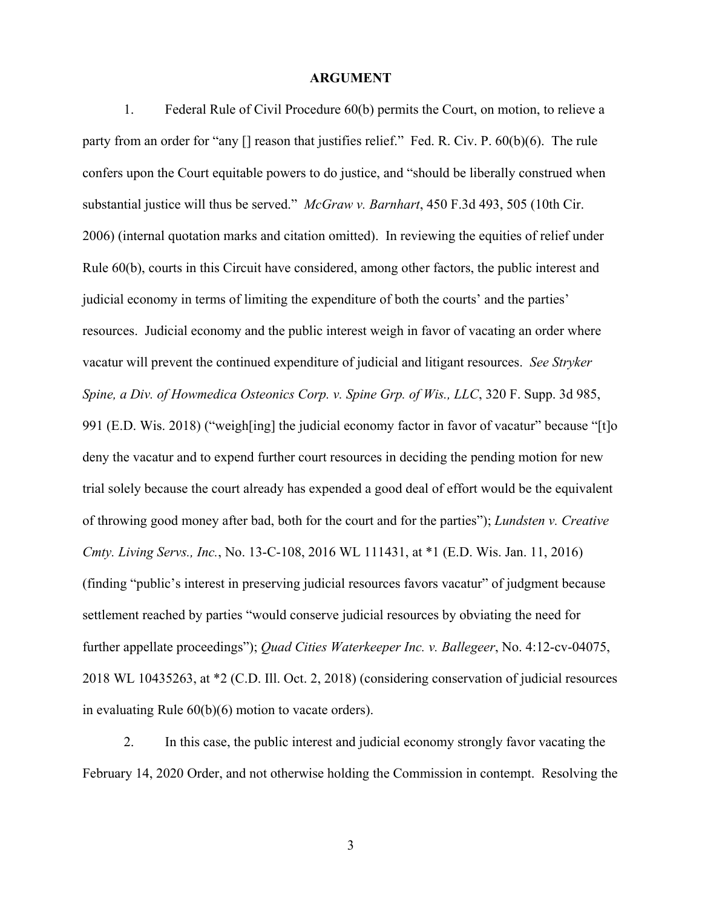#### **ARGUMENT**

1. Federal Rule of Civil Procedure 60(b) permits the Court, on motion, to relieve a party from an order for "any [] reason that justifies relief." Fed. R. Civ. P. 60(b)(6). The rule confers upon the Court equitable powers to do justice, and "should be liberally construed when substantial justice will thus be served." *McGraw v. Barnhart*, 450 F.3d 493, 505 (10th Cir. 2006) (internal quotation marks and citation omitted). In reviewing the equities of relief under Rule 60(b), courts in this Circuit have considered, among other factors, the public interest and judicial economy in terms of limiting the expenditure of both the courts' and the parties' resources. Judicial economy and the public interest weigh in favor of vacating an order where vacatur will prevent the continued expenditure of judicial and litigant resources. *See Stryker Spine, a Div. of Howmedica Osteonics Corp. v. Spine Grp. of Wis., LLC*, 320 F. Supp. 3d 985, 991 (E.D. Wis. 2018) ("weigh[ing] the judicial economy factor in favor of vacatur" because "[t]o deny the vacatur and to expend further court resources in deciding the pending motion for new trial solely because the court already has expended a good deal of effort would be the equivalent of throwing good money after bad, both for the court and for the parties"); *Lundsten v. Creative Cmty. Living Servs., Inc.*, No. 13-C-108, 2016 WL 111431, at \*1 (E.D. Wis. Jan. 11, 2016) (finding "public's interest in preserving judicial resources favors vacatur" of judgment because settlement reached by parties "would conserve judicial resources by obviating the need for further appellate proceedings"); *Quad Cities Waterkeeper Inc. v. Ballegeer*, No. 4:12-cv-04075, 2018 WL 10435263, at \*2 (C.D. Ill. Oct. 2, 2018) (considering conservation of judicial resources in evaluating Rule 60(b)(6) motion to vacate orders).

2. In this case, the public interest and judicial economy strongly favor vacating the February 14, 2020 Order, and not otherwise holding the Commission in contempt. Resolving the

3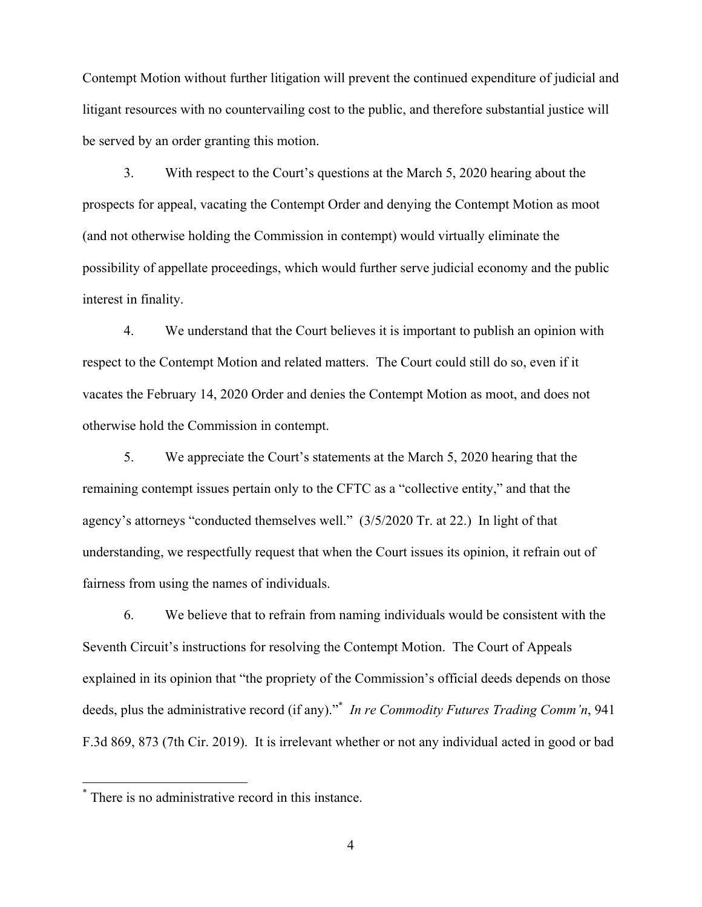Contempt Motion without further litigation will prevent the continued expenditure of judicial and litigant resources with no countervailing cost to the public, and therefore substantial justice will be served by an order granting this motion.

3. With respect to the Court's questions at the March 5, 2020 hearing about the prospects for appeal, vacating the Contempt Order and denying the Contempt Motion as moot (and not otherwise holding the Commission in contempt) would virtually eliminate the possibility of appellate proceedings, which would further serve judicial economy and the public interest in finality.

4. We understand that the Court believes it is important to publish an opinion with respect to the Contempt Motion and related matters. The Court could still do so, even if it vacates the February 14, 2020 Order and denies the Contempt Motion as moot, and does not otherwise hold the Commission in contempt.

5. We appreciate the Court's statements at the March 5, 2020 hearing that the remaining contempt issues pertain only to the CFTC as a "collective entity," and that the agency's attorneys "conducted themselves well." (3/5/2020 Tr. at 22.) In light of that understanding, we respectfully request that when the Court issues its opinion, it refrain out of fairness from using the names of individuals.

6. We believe that to refrain from naming individuals would be consistent with the Seventh Circuit's instructions for resolving the Contempt Motion. The Court of Appeals explained in its opinion that "the propriety of the Commission's official deeds depends on those deeds, plus the administrative record (if any)."\* *In re Commodity Futures Trading Comm'n*, 941 F.3d 869, 873 (7th Cir. 2019). It is irrelevant whether or not any individual acted in good or bad

 $\overline{a}$ 

<sup>\*</sup> There is no administrative record in this instance.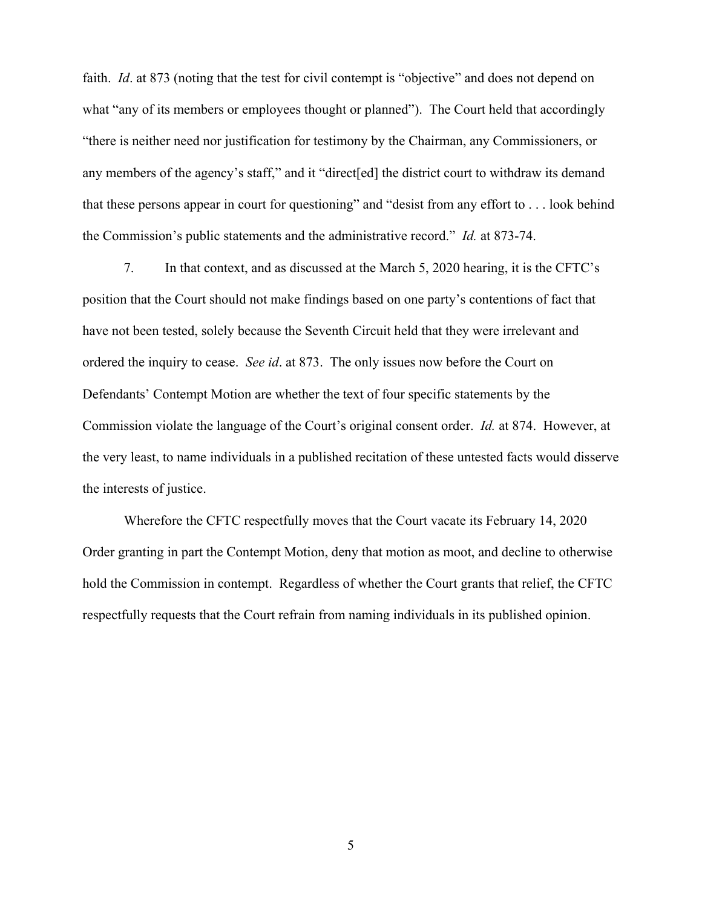faith. *Id*. at 873 (noting that the test for civil contempt is "objective" and does not depend on what "any of its members or employees thought or planned"). The Court held that accordingly "there is neither need nor justification for testimony by the Chairman, any Commissioners, or any members of the agency's staff," and it "direct[ed] the district court to withdraw its demand that these persons appear in court for questioning" and "desist from any effort to . . . look behind the Commission's public statements and the administrative record." *Id.* at 873-74.

7. In that context, and as discussed at the March 5, 2020 hearing, it is the CFTC's position that the Court should not make findings based on one party's contentions of fact that have not been tested, solely because the Seventh Circuit held that they were irrelevant and ordered the inquiry to cease. *See id*. at 873. The only issues now before the Court on Defendants' Contempt Motion are whether the text of four specific statements by the Commission violate the language of the Court's original consent order. *Id.* at 874. However, at the very least, to name individuals in a published recitation of these untested facts would disserve the interests of justice.

Wherefore the CFTC respectfully moves that the Court vacate its February 14, 2020 Order granting in part the Contempt Motion, deny that motion as moot, and decline to otherwise hold the Commission in contempt. Regardless of whether the Court grants that relief, the CFTC respectfully requests that the Court refrain from naming individuals in its published opinion.

5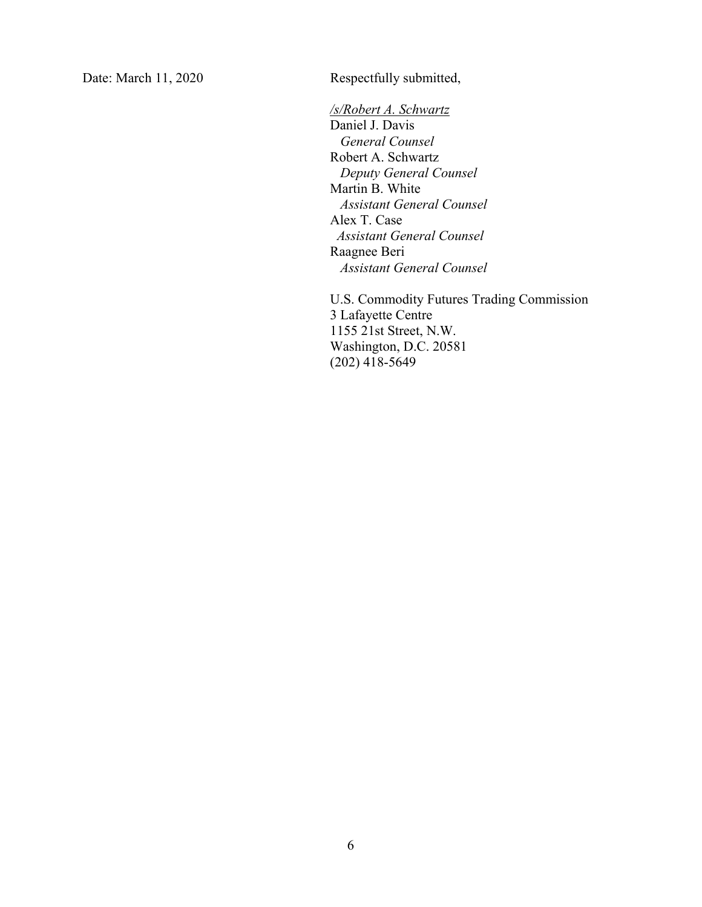Date: March 11, 2020 Respectfully submitted,

*/s/Robert A. Schwartz*  Daniel J. Davis  *General Counsel*  Robert A. Schwartz  *Deputy General Counsel*  Martin B. White  *Assistant General Counsel*  Alex T. Case  *Assistant General Counsel* Raagnee Beri  *Assistant General Counsel* 

U.S. Commodity Futures Trading Commission 3 Lafayette Centre 1155 21st Street, N.W. Washington, D.C. 20581 (202) 418-5649